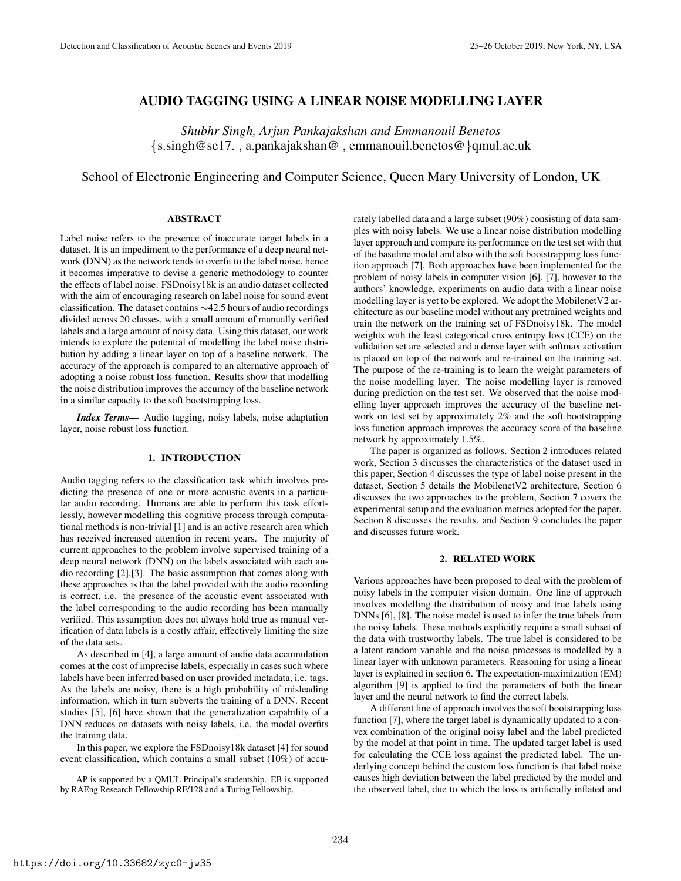## AUDIO TAGGING USING A LINEAR NOISE MODELLING LAYER

*Shubhr Singh, Arjun Pankajakshan and Emmanouil Benetos* {s.singh@se17. , a.pankajakshan@ , emmanouil.benetos@}qmul.ac.uk

# School of Electronic Engineering and Computer Science, Queen Mary University of London, UK

## ABSTRACT

Label noise refers to the presence of inaccurate target labels in a dataset. It is an impediment to the performance of a deep neural network (DNN) as the network tends to overfit to the label noise, hence it becomes imperative to devise a generic methodology to counter the effects of label noise. FSDnoisy18k is an audio dataset collected with the aim of encouraging research on label noise for sound event classification. The dataset contains ∼42.5 hours of audio recordings divided across 20 classes, with a small amount of manually verified labels and a large amount of noisy data. Using this dataset, our work intends to explore the potential of modelling the label noise distribution by adding a linear layer on top of a baseline network. The accuracy of the approach is compared to an alternative approach of adopting a noise robust loss function. Results show that modelling the noise distribution improves the accuracy of the baseline network in a similar capacity to the soft bootstrapping loss.

*Index Terms*— Audio tagging, noisy labels, noise adaptation layer, noise robust loss function.

## 1. INTRODUCTION

Audio tagging refers to the classification task which involves predicting the presence of one or more acoustic events in a particular audio recording. Humans are able to perform this task effortlessly, however modelling this cognitive process through computational methods is non-trivial [1] and is an active research area which has received increased attention in recent years. The majority of current approaches to the problem involve supervised training of a deep neural network (DNN) on the labels associated with each audio recording [2],[3]. The basic assumption that comes along with these approaches is that the label provided with the audio recording is correct, i.e. the presence of the acoustic event associated with the label corresponding to the audio recording has been manually verified. This assumption does not always hold true as manual verification of data labels is a costly affair, effectively limiting the size of the data sets.

As described in [4], a large amount of audio data accumulation comes at the cost of imprecise labels, especially in cases such where labels have been inferred based on user provided metadata, i.e. tags. As the labels are noisy, there is a high probability of misleading information, which in turn subverts the training of a DNN. Recent studies [5], [6] have shown that the generalization capability of a DNN reduces on datasets with noisy labels, i.e. the model overfits the training data.

In this paper, we explore the FSDnoisy18k dataset [4] for sound event classification, which contains a small subset (10%) of accurately labelled data and a large subset (90%) consisting of data samples with noisy labels. We use a linear noise distribution modelling layer approach and compare its performance on the test set with that of the baseline model and also with the soft bootstrapping loss function approach [7]. Both approaches have been implemented for the problem of noisy labels in computer vision [6], [7], however to the authors' knowledge, experiments on audio data with a linear noise modelling layer is yet to be explored. We adopt the MobilenetV2 architecture as our baseline model without any pretrained weights and train the network on the training set of FSDnoisy18k. The model weights with the least categorical cross entropy loss (CCE) on the validation set are selected and a dense layer with softmax activation is placed on top of the network and re-trained on the training set. The purpose of the re-training is to learn the weight parameters of the noise modelling layer. The noise modelling layer is removed during prediction on the test set. We observed that the noise modelling layer approach improves the accuracy of the baseline network on test set by approximately 2% and the soft bootstrapping loss function approach improves the accuracy score of the baseline network by approximately 1.5%.

The paper is organized as follows. Section 2 introduces related work, Section 3 discusses the characteristics of the dataset used in this paper, Section 4 discusses the type of label noise present in the dataset, Section 5 details the MobilenetV2 architecture, Section 6 discusses the two approaches to the problem, Section 7 covers the experimental setup and the evaluation metrics adopted for the paper, Section 8 discusses the results, and Section 9 concludes the paper and discusses future work.

## 2. RELATED WORK

Various approaches have been proposed to deal with the problem of noisy labels in the computer vision domain. One line of approach involves modelling the distribution of noisy and true labels using DNNs [6], [8]. The noise model is used to infer the true labels from the noisy labels. These methods explicitly require a small subset of the data with trustworthy labels. The true label is considered to be a latent random variable and the noise processes is modelled by a linear layer with unknown parameters. Reasoning for using a linear layer is explained in section 6. The expectation-maximization (EM) algorithm [9] is applied to find the parameters of both the linear layer and the neural network to find the correct labels.

A different line of approach involves the soft bootstrapping loss function [7], where the target label is dynamically updated to a convex combination of the original noisy label and the label predicted by the model at that point in time. The updated target label is used for calculating the CCE loss against the predicted label. The underlying concept behind the custom loss function is that label noise causes high deviation between the label predicted by the model and the observed label, due to which the loss is artificially inflated and

AP is supported by a QMUL Principal's studentship. EB is supported by RAEng Research Fellowship RF/128 and a Turing Fellowship.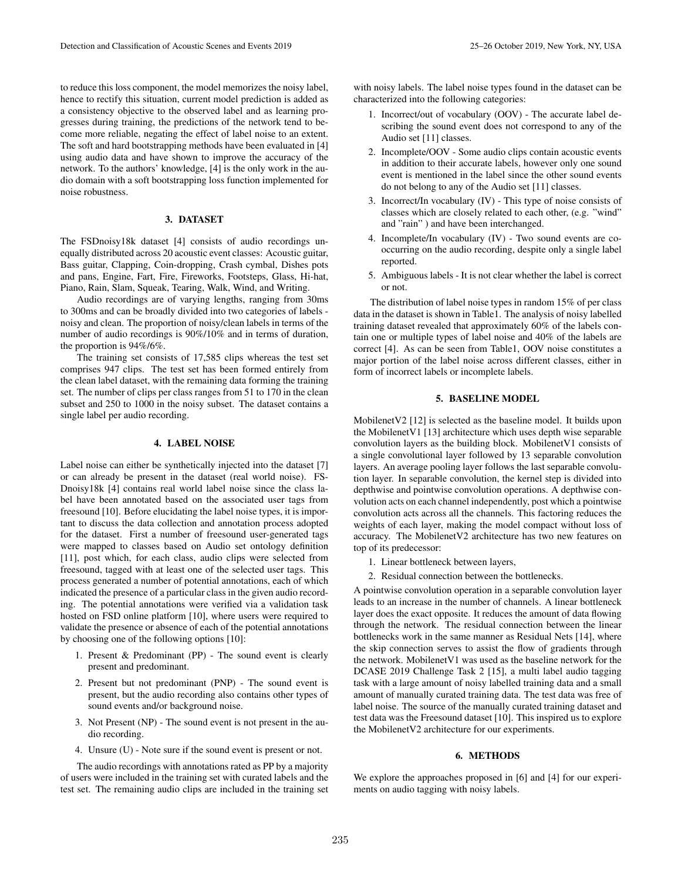to reduce this loss component, the model memorizes the noisy label, hence to rectify this situation, current model prediction is added as a consistency objective to the observed label and as learning progresses during training, the predictions of the network tend to become more reliable, negating the effect of label noise to an extent. The soft and hard bootstrapping methods have been evaluated in [4] using audio data and have shown to improve the accuracy of the network. To the authors' knowledge, [4] is the only work in the audio domain with a soft bootstrapping loss function implemented for noise robustness.

#### 3. DATASET

The FSDnoisy18k dataset [4] consists of audio recordings unequally distributed across 20 acoustic event classes: Acoustic guitar, Bass guitar, Clapping, Coin-dropping, Crash cymbal, Dishes pots and pans, Engine, Fart, Fire, Fireworks, Footsteps, Glass, Hi-hat, Piano, Rain, Slam, Squeak, Tearing, Walk, Wind, and Writing.

Audio recordings are of varying lengths, ranging from 30ms to 300ms and can be broadly divided into two categories of labels noisy and clean. The proportion of noisy/clean labels in terms of the number of audio recordings is 90%/10% and in terms of duration, the proportion is 94%/6%.

The training set consists of 17,585 clips whereas the test set comprises 947 clips. The test set has been formed entirely from the clean label dataset, with the remaining data forming the training set. The number of clips per class ranges from 51 to 170 in the clean subset and 250 to 1000 in the noisy subset. The dataset contains a single label per audio recording.

#### 4. LABEL NOISE

Label noise can either be synthetically injected into the dataset [7] or can already be present in the dataset (real world noise). FS-Dnoisy18k [4] contains real world label noise since the class label have been annotated based on the associated user tags from freesound [10]. Before elucidating the label noise types, it is important to discuss the data collection and annotation process adopted for the dataset. First a number of freesound user-generated tags were mapped to classes based on Audio set ontology definition [11], post which, for each class, audio clips were selected from freesound, tagged with at least one of the selected user tags. This process generated a number of potential annotations, each of which indicated the presence of a particular class in the given audio recording. The potential annotations were verified via a validation task hosted on FSD online platform [10], where users were required to validate the presence or absence of each of the potential annotations by choosing one of the following options [10]:

- 1. Present & Predominant (PP) The sound event is clearly present and predominant.
- 2. Present but not predominant (PNP) The sound event is present, but the audio recording also contains other types of sound events and/or background noise.
- 3. Not Present (NP) The sound event is not present in the audio recording.
- 4. Unsure (U) Note sure if the sound event is present or not.

The audio recordings with annotations rated as PP by a majority of users were included in the training set with curated labels and the test set. The remaining audio clips are included in the training set with noisy labels. The label noise types found in the dataset can be characterized into the following categories:

- 1. Incorrect/out of vocabulary (OOV) The accurate label describing the sound event does not correspond to any of the Audio set [11] classes.
- 2. Incomplete/OOV Some audio clips contain acoustic events in addition to their accurate labels, however only one sound event is mentioned in the label since the other sound events do not belong to any of the Audio set [11] classes.
- 3. Incorrect/In vocabulary (IV) This type of noise consists of classes which are closely related to each other, (e.g. "wind" and "rain" ) and have been interchanged.
- 4. Incomplete/In vocabulary (IV) Two sound events are cooccurring on the audio recording, despite only a single label reported.
- 5. Ambiguous labels It is not clear whether the label is correct or not.

The distribution of label noise types in random 15% of per class data in the dataset is shown in Table1. The analysis of noisy labelled training dataset revealed that approximately 60% of the labels contain one or multiple types of label noise and 40% of the labels are correct [4]. As can be seen from Table1, OOV noise constitutes a major portion of the label noise across different classes, either in form of incorrect labels or incomplete labels.

### 5. BASELINE MODEL

MobilenetV2 [12] is selected as the baseline model. It builds upon the MobilenetV1 [13] architecture which uses depth wise separable convolution layers as the building block. MobilenetV1 consists of a single convolutional layer followed by 13 separable convolution layers. An average pooling layer follows the last separable convolution layer. In separable convolution, the kernel step is divided into depthwise and pointwise convolution operations. A depthwise convolution acts on each channel independently, post which a pointwise convolution acts across all the channels. This factoring reduces the weights of each layer, making the model compact without loss of accuracy. The MobilenetV2 architecture has two new features on top of its predecessor:

- 1. Linear bottleneck between layers,
- 2. Residual connection between the bottlenecks.

A pointwise convolution operation in a separable convolution layer leads to an increase in the number of channels. A linear bottleneck layer does the exact opposite. It reduces the amount of data flowing through the network. The residual connection between the linear bottlenecks work in the same manner as Residual Nets [14], where the skip connection serves to assist the flow of gradients through the network. MobilenetV1 was used as the baseline network for the DCASE 2019 Challenge Task 2 [15], a multi label audio tagging task with a large amount of noisy labelled training data and a small amount of manually curated training data. The test data was free of label noise. The source of the manually curated training dataset and test data was the Freesound dataset [10]. This inspired us to explore the MobilenetV2 architecture for our experiments.

## 6. METHODS

We explore the approaches proposed in [6] and [4] for our experiments on audio tagging with noisy labels.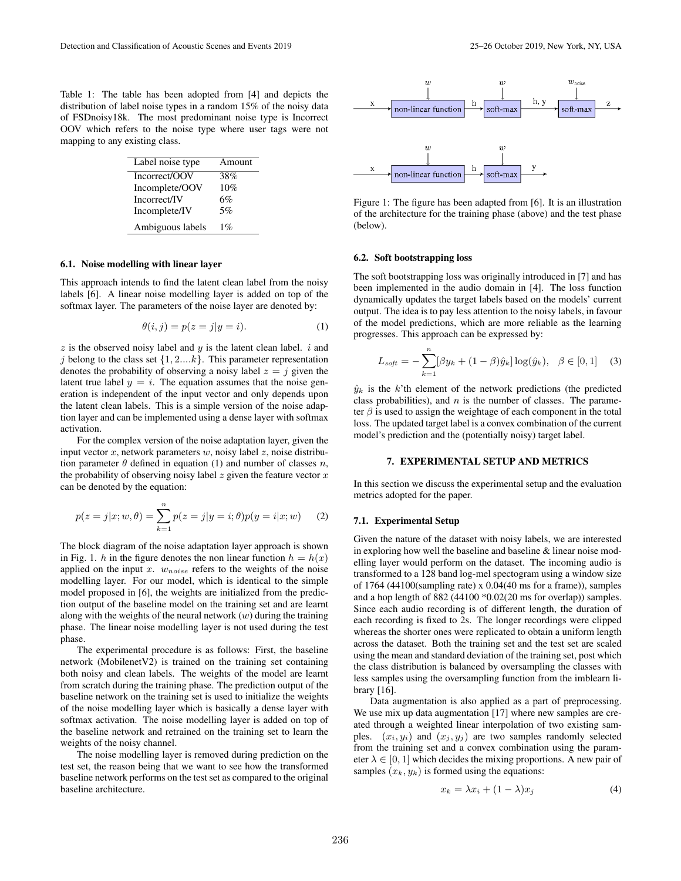Table 1: The table has been adopted from [4] and depicts the distribution of label noise types in a random 15% of the noisy data of FSDnoisy18k. The most predominant noise type is Incorrect OOV which refers to the noise type where user tags were not mapping to any existing class.

| Label noise type | Amount |
|------------------|--------|
| Incorrect/OOV    | 38%    |
| Incomplete/OOV   | 10%    |
| Incorrect/IV     | 6%     |
| Incomplete/IV    | 5%     |
| Ambiguous labels | $1\%$  |

#### 6.1. Noise modelling with linear layer

This approach intends to find the latent clean label from the noisy labels [6]. A linear noise modelling layer is added on top of the softmax layer. The parameters of the noise layer are denoted by:

$$
\theta(i,j) = p(z = j | y = i).
$$
 (1)

 $z$  is the observed noisy label and  $y$  is the latent clean label.  $i$  and j belong to the class set  $\{1, 2,...k\}$ . This parameter representation denotes the probability of observing a noisy label  $z = j$  given the latent true label  $y = i$ . The equation assumes that the noise generation is independent of the input vector and only depends upon the latent clean labels. This is a simple version of the noise adaption layer and can be implemented using a dense layer with softmax activation.

For the complex version of the noise adaptation layer, given the input vector x, network parameters  $w$ , noisy label z, noise distribution parameter  $\theta$  defined in equation (1) and number of classes n, the probability of observing noisy label  $z$  given the feature vector  $x$ can be denoted by the equation:

$$
p(z = j|x; w, \theta) = \sum_{k=1}^{n} p(z = j|y = i; \theta) p(y = i|x; w)
$$
 (2)

The block diagram of the noise adaptation layer approach is shown in Fig. 1. h in the figure denotes the non linear function  $h = h(x)$ applied on the input  $x$ .  $w_{noise}$  refers to the weights of the noise modelling layer. For our model, which is identical to the simple model proposed in [6], the weights are initialized from the prediction output of the baseline model on the training set and are learnt along with the weights of the neural network  $(w)$  during the training phase. The linear noise modelling layer is not used during the test phase.

The experimental procedure is as follows: First, the baseline network (MobilenetV2) is trained on the training set containing both noisy and clean labels. The weights of the model are learnt from scratch during the training phase. The prediction output of the baseline network on the training set is used to initialize the weights of the noise modelling layer which is basically a dense layer with softmax activation. The noise modelling layer is added on top of the baseline network and retrained on the training set to learn the weights of the noisy channel.

The noise modelling layer is removed during prediction on the test set, the reason being that we want to see how the transformed baseline network performs on the test set as compared to the original baseline architecture.



Figure 1: The figure has been adapted from [6]. It is an illustration of the architecture for the training phase (above) and the test phase (below).

#### 6.2. Soft bootstrapping loss

The soft bootstrapping loss was originally introduced in [7] and has been implemented in the audio domain in [4]. The loss function dynamically updates the target labels based on the models' current output. The idea is to pay less attention to the noisy labels, in favour of the model predictions, which are more reliable as the learning progresses. This approach can be expressed by:

$$
L_{soft} = -\sum_{k=1}^{n} [\beta y_k + (1 - \beta)\hat{y}_k] \log(\hat{y}_k), \ \ \beta \in [0, 1] \tag{3}
$$

 $\hat{y}_k$  is the k'th element of the network predictions (the predicted class probabilities), and  $n$  is the number of classes. The parameter  $\beta$  is used to assign the weightage of each component in the total loss. The updated target label is a convex combination of the current model's prediction and the (potentially noisy) target label.

#### 7. EXPERIMENTAL SETUP AND METRICS

In this section we discuss the experimental setup and the evaluation metrics adopted for the paper.

#### 7.1. Experimental Setup

Given the nature of the dataset with noisy labels, we are interested in exploring how well the baseline and baseline & linear noise modelling layer would perform on the dataset. The incoming audio is transformed to a 128 band log-mel spectogram using a window size of 1764 (44100(sampling rate) x 0.04(40 ms for a frame)), samples and a hop length of 882 (44100 \*0.02(20 ms for overlap)) samples. Since each audio recording is of different length, the duration of each recording is fixed to 2s. The longer recordings were clipped whereas the shorter ones were replicated to obtain a uniform length across the dataset. Both the training set and the test set are scaled using the mean and standard deviation of the training set, post which the class distribution is balanced by oversampling the classes with less samples using the oversampling function from the imblearn library [16].

Data augmentation is also applied as a part of preprocessing. We use mix up data augmentation [17] where new samples are created through a weighted linear interpolation of two existing samples.  $(x_i, y_i)$  and  $(x_i, y_j)$  are two samples randomly selected from the training set and a convex combination using the parameter  $\lambda \in [0, 1]$  which decides the mixing proportions. A new pair of samples  $(x_k, y_k)$  is formed using the equations:

$$
x_k = \lambda x_i + (1 - \lambda)x_j \tag{4}
$$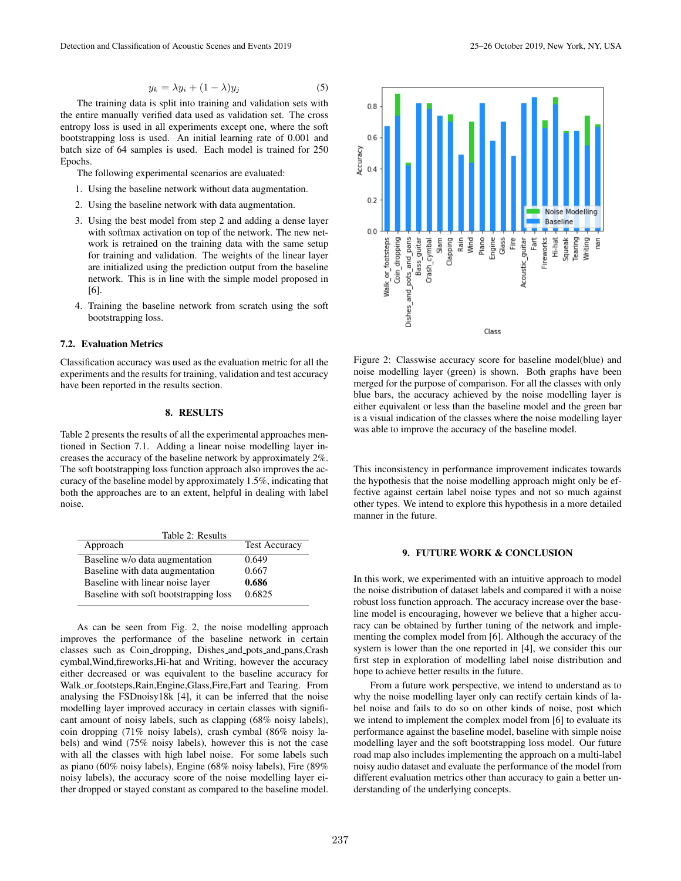$$
y_k = \lambda y_i + (1 - \lambda)y_j \tag{5}
$$

The training data is split into training and validation sets with the entire manually verified data used as validation set. The cross entropy loss is used in all experiments except one, where the soft bootstrapping loss is used. An initial learning rate of 0.001 and batch size of 64 samples is used. Each model is trained for 250 Epochs.

The following experimental scenarios are evaluated:

- 1. Using the baseline network without data augmentation.
- 2. Using the baseline network with data augmentation.
- 3. Using the best model from step 2 and adding a dense layer with softmax activation on top of the network. The new network is retrained on the training data with the same setup for training and validation. The weights of the linear layer are initialized using the prediction output from the baseline network. This is in line with the simple model proposed in [6].
- 4. Training the baseline network from scratch using the soft bootstrapping loss.

## 7.2. Evaluation Metrics

Classification accuracy was used as the evaluation metric for all the experiments and the results for training, validation and test accuracy have been reported in the results section.

## 8. RESULTS

Table 2 presents the results of all the experimental approaches mentioned in Section 7.1. Adding a linear noise modelling layer increases the accuracy of the baseline network by approximately 2%. The soft bootstrapping loss function approach also improves the accuracy of the baseline model by approximately 1.5%, indicating that both the approaches are to an extent, helpful in dealing with label noise.

| Table 2: Results                      |                      |
|---------------------------------------|----------------------|
| Approach                              | <b>Test Accuracy</b> |
| Baseline w/o data augmentation        | 0.649                |
| Baseline with data augmentation       | 0.667                |
| Baseline with linear noise layer      | 0.686                |
| Baseline with soft bootstrapping loss | 0.6825               |

As can be seen from Fig. 2, the noise modelling approach improves the performance of the baseline network in certain classes such as Coin dropping, Dishes and pots and pans,Crash cymbal,Wind,fireworks,Hi-hat and Writing, however the accuracy either decreased or was equivalent to the baseline accuracy for Walk or footsteps,Rain,Engine,Glass,Fire,Fart and Tearing. From analysing the FSDnoisy18k [4], it can be inferred that the noise modelling layer improved accuracy in certain classes with significant amount of noisy labels, such as clapping (68% noisy labels), coin dropping (71% noisy labels), crash cymbal (86% noisy labels) and wind (75% noisy labels), however this is not the case with all the classes with high label noise. For some labels such as piano (60% noisy labels), Engine (68% noisy labels), Fire (89% noisy labels), the accuracy score of the noise modelling layer either dropped or stayed constant as compared to the baseline model.



Figure 2: Classwise accuracy score for baseline model(blue) and noise modelling layer (green) is shown. Both graphs have been merged for the purpose of comparison. For all the classes with only blue bars, the accuracy achieved by the noise modelling layer is either equivalent or less than the baseline model and the green bar is a visual indication of the classes where the noise modelling layer was able to improve the accuracy of the baseline model.

This inconsistency in performance improvement indicates towards the hypothesis that the noise modelling approach might only be effective against certain label noise types and not so much against other types. We intend to explore this hypothesis in a more detailed manner in the future.

#### 9. FUTURE WORK & CONCLUSION

In this work, we experimented with an intuitive approach to model the noise distribution of dataset labels and compared it with a noise robust loss function approach. The accuracy increase over the baseline model is encouraging, however we believe that a higher accuracy can be obtained by further tuning of the network and implementing the complex model from [6]. Although the accuracy of the system is lower than the one reported in [4], we consider this our first step in exploration of modelling label noise distribution and hope to achieve better results in the future.

From a future work perspective, we intend to understand as to why the noise modelling layer only can rectify certain kinds of label noise and fails to do so on other kinds of noise, post which we intend to implement the complex model from [6] to evaluate its performance against the baseline model, baseline with simple noise modelling layer and the soft bootstrapping loss model. Our future road map also includes implementing the approach on a multi-label noisy audio dataset and evaluate the performance of the model from different evaluation metrics other than accuracy to gain a better understanding of the underlying concepts.